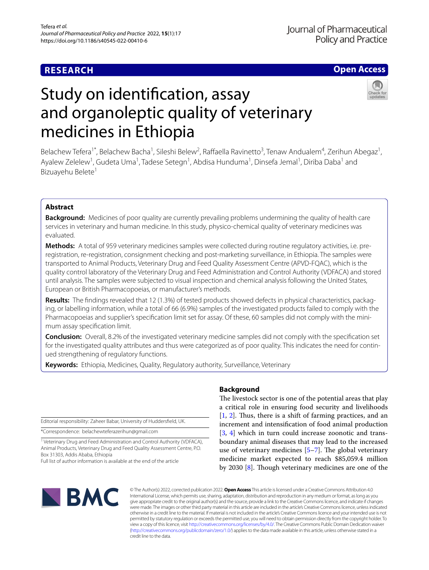# **RESEARCH**

## **Open Access**

# Study on identifcation, assay and organoleptic quality of veterinary medicines in Ethiopia



Belachew Tefera<sup>1\*</sup>, Belachew Bacha<sup>1</sup>, Sileshi Belew<sup>2</sup>, Raffaella Ravinetto<sup>3</sup>, Tenaw Andualem<sup>4</sup>, Zerihun Abegaz<sup>1</sup>, Ayalew Zelelew<sup>1</sup>, Gudeta Uma<sup>1</sup>, Tadese Setegn<sup>1</sup>, Abdisa Hunduma<sup>1</sup>, Dinsefa Jemal<sup>1</sup>, Diriba Daba<sup>1</sup> and Bizuayehu Belete<sup>1</sup>

## **Abstract**

**Background:** Medicines of poor quality are currently prevailing problems undermining the quality of health care services in veterinary and human medicine. In this study, physico-chemical quality of veterinary medicines was evaluated.

**Methods:** A total of 959 veterinary medicines samples were collected during routine regulatory activities, i.e. preregistration, re-registration, consignment checking and post-marketing surveillance, in Ethiopia. The samples were transported to Animal Products, Veterinary Drug and Feed Quality Assessment Centre (APVD-FQAC), which is the quality control laboratory of the Veterinary Drug and Feed Administration and Control Authority (VDFACA) and stored until analysis. The samples were subjected to visual inspection and chemical analysis following the United States, European or British Pharmacopoeias, or manufacturer's methods.

**Results:** The fndings revealed that 12 (1.3%) of tested products showed defects in physical characteristics, packaging, or labelling information, while a total of 66 (6.9%) samples of the investigated products failed to comply with the Pharmacopoeias and supplier's specifcation limit set for assay. Of these, 60 samples did not comply with the minimum assay specifcation limit.

**Conclusion:** Overall, 8.2% of the investigated veterinary medicine samples did not comply with the specifcation set for the investigated quality attributes and thus were categorized as of poor quality. This indicates the need for continued strengthening of regulatory functions.

**Keywords:** Ethiopia, Medicines, Quality, Regulatory authority, Surveillance, Veterinary

Editorial responsibility: Zaheer Babar, University of Huddersfeld, UK.

\*Correspondence: belachewteferazerihun@gmail.com

<sup>1</sup> Veterinary Drug and Feed Administration and Control Authority (VDFACA), Animal Products, Veterinary Drug and Feed Quality Assessment Centre, P.O. Box 31303, Addis Ababa, Ethiopia

Full list of author information is available at the end of the article

## **Background**

The livestock sector is one of the potential areas that play a critical role in ensuring food security and livelihoods  $[1, 2]$  $[1, 2]$  $[1, 2]$  $[1, 2]$  $[1, 2]$ . Thus, there is a shift of farming practices, and an increment and intensifcation of food animal production [[3,](#page-5-2) [4\]](#page-5-3) which in turn could increase zoonotic and transboundary animal diseases that may lead to the increased use of veterinary medicines  $[5-7]$  $[5-7]$ . The global veterinary medicine market expected to reach \$85,059.4 million by 2030 [\[8](#page-5-6)]. Though veterinary medicines are one of the



© The Author(s) 2022, corrected publication 2022. **Open Access** This article is licensed under a Creative Commons Attribution 4.0 International License, which permits use, sharing, adaptation, distribution and reproduction in any medium or format, as long as you give appropriate credit to the original author(s) and the source, provide a link to the Creative Commons licence, and indicate if changes were made. The images or other third party material in this article are included in the article's Creative Commons licence, unless indicated otherwise in a credit line to the material. If material is not included in the article's Creative Commons licence and your intended use is not permitted by statutory regulation or exceeds the permitted use, you will need to obtain permission directly from the copyright holder. To view a copy of this licence, visit [http://creativecommons.org/licenses/by/4.0/.](http://creativecommons.org/licenses/by/4.0/) The Creative Commons Public Domain Dedication waiver [\(http://creativecommons.org/publicdomain/zero/1.0/\)](http://creativecommons.org/publicdomain/zero/1.0/) applies to the data made available in this article, unless otherwise stated in a credit line to the data.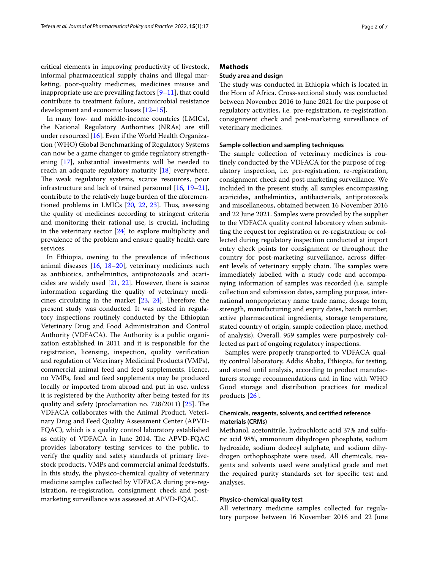critical elements in improving productivity of livestock, informal pharmaceutical supply chains and illegal marketing, poor-quality medicines, medicines misuse and inappropriate use are prevailing factors  $[9-11]$  $[9-11]$ , that could contribute to treatment failure, antimicrobial resistance development and economic losses [\[12](#page-5-9)–[15\]](#page-5-10).

In many low- and middle-income countries (LMICs), the National Regulatory Authorities (NRAs) are still under resourced [[16\]](#page-5-11). Even if the World Health Organization (WHO) Global Benchmarking of Regulatory Systems can now be a game changer to guide regulatory strengthening [[17\]](#page-5-12), substantial investments will be needed to reach an adequate regulatory maturity [\[18](#page-5-13)] everywhere. The weak regulatory systems, scarce resources, poor infrastructure and lack of trained personnel [\[16](#page-5-11), [19](#page-5-14)[–21](#page-5-15)], contribute to the relatively huge burden of the aforementioned problems in LMICs [\[20](#page-5-16), [22](#page-5-17), [23\]](#page-5-18). Tus, assessing the quality of medicines according to stringent criteria and monitoring their rational use, is crucial, including in the veterinary sector [\[24\]](#page-5-19) to explore multiplicity and prevalence of the problem and ensure quality health care services.

In Ethiopia, owning to the prevalence of infectious animal diseases [[16,](#page-5-11) [18–](#page-5-13)[20\]](#page-5-16), veterinary medicines such as antibiotics, anthelmintics, antiprotozoals and acaricides are widely used [\[21](#page-5-15), [22\]](#page-5-17). However, there is scarce information regarding the quality of veterinary medicines circulating in the market  $[23, 24]$  $[23, 24]$  $[23, 24]$  $[23, 24]$ . Therefore, the present study was conducted. It was nested in regulatory inspections routinely conducted by the Ethiopian Veterinary Drug and Food Administration and Control Authority (VDFACA). The Authority is a public organization established in 2011 and it is responsible for the registration, licensing, inspection, quality verifcation and regulation of Veterinary Medicinal Products (VMPs), commercial animal feed and feed supplements. Hence, no VMPs, feed and feed supplements may be produced locally or imported from abroad and put in use, unless it is registered by the Authority after being tested for its quality and safety (proclamation no.  $728/2011$ )  $[25]$  $[25]$ . The VDFACA collaborates with the Animal Product, Veterinary Drug and Feed Quality Assessment Center (APVD-FQAC), which is a quality control laboratory established as entity of VDFACA in June 2014. The APVD-FQAC provides laboratory testing services to the public, to verify the quality and safety standards of primary livestock products, VMPs and commercial animal feedstufs. In this study, the physico-chemical quality of veterinary medicine samples collected by VDFACA during pre-registration, re-registration, consignment check and postmarketing surveillance was assessed at APVD-FQAC.

## **Methods**

## **Study area and design**

The study was conducted in Ethiopia which is located in the Horn of Africa. Cross-sectional study was conducted between November 2016 to June 2021 for the purpose of regulatory activities, i.e. pre-registration, re-registration, consignment check and post-marketing surveillance of veterinary medicines.

#### **Sample collection and sampling techniques**

The sample collection of veterinary medicines is routinely conducted by the VDFACA for the purpose of regulatory inspection, i.e. pre-registration, re-registration, consignment check and post-marketing surveillance. We included in the present study, all samples encompassing acaricides, anthelmintics, antibacterials, antiprotozoals and miscellaneous, obtained between 16 November 2016 and 22 June 2021. Samples were provided by the supplier to the VDFACA quality control laboratory when submitting the request for registration or re-registration; or collected during regulatory inspection conducted at import entry check points for consignment or throughout the country for post-marketing surveillance, across diferent levels of veterinary supply chain. The samples were immediately labelled with a study code and accompanying information of samples was recorded (i.e. sample collection and submission dates, sampling purpose, international nonproprietary name trade name, dosage form, strength, manufacturing and expiry dates, batch number, active pharmaceutical ingredients, storage temperature, stated country of origin, sample collection place, method of analysis). Overall, 959 samples were purposively collected as part of ongoing regulatory inspections.

Samples were properly transported to VDFACA quality control laboratory, Addis Ababa, Ethiopia, for testing, and stored until analysis, according to product manufacturers storage recommendations and in line with WHO Good storage and distribution practices for medical products [[26\]](#page-5-21).

## **Chemicals, reagents, solvents, and certifed reference materials (CRMs)**

Methanol, acetonitrile, hydrochloric acid 37% and sulfuric acid 98%, ammonium dihydrogen phosphate, sodium hydroxide, sodium dodecyl sulphate, and sodium dihydrogen orthophosphate were used. All chemicals, reagents and solvents used were analytical grade and met the required purity standards set for specifc test and analyses.

#### **Physico‑chemical quality test**

All veterinary medicine samples collected for regulatory purpose between 16 November 2016 and 22 June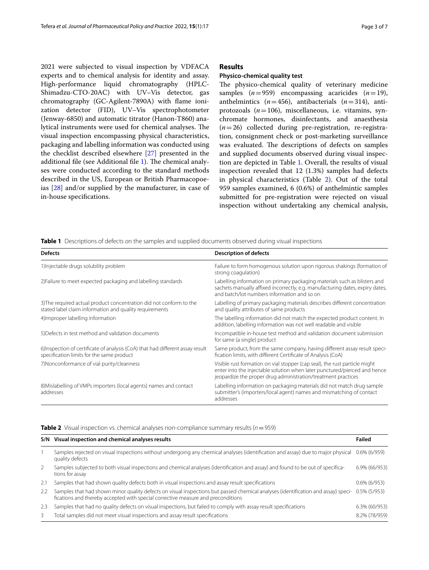2021 were subjected to visual inspection by VDFACA experts and to chemical analysis for identity and assay. High-performance liquid chromatography (HPLC-Shimadzu-CTO-20AC) with UV–Vis detector, gas chromatography (GC-Agilent-7890A) with fame ionization detector (FID), UV–Vis spectrophotometer (Jenway-6850) and automatic titrator (Hanon-T860) analytical instruments were used for chemical analyses. The visual inspection encompassing physical characteristics, packaging and labelling information was conducted using the checklist described elsewhere [[27](#page-5-22)] presented in the additional file (see Additional file [1](#page-4-0)). The chemical analyses were conducted according to the standard methods described in the US, European or British Pharmacopoeias [\[28](#page-5-23)] and/or supplied by the manufacturer, in case of in-house specifcations.

## **Results**

## **Physico‑chemical quality test**

The physico-chemical quality of veterinary medicine samples  $(n=959)$  encompassing acaricides  $(n=19)$ , anthelmintics  $(n=456)$ , antibacterials  $(n=314)$ , antiprotozoals (*n*=106), miscellaneous, i.e. vitamins, synchromate hormones, disinfectants, and anaesthesia (*n*=26) collected during pre-registration, re-registration, consignment check or post-marketing surveillance was evaluated. The descriptions of defects on samples and supplied documents observed during visual inspection are depicted in Table [1](#page-2-0). Overall, the results of visual inspection revealed that 12 (1.3%) samples had defects in physical characteristics (Table [2](#page-2-1)). Out of the total 959 samples examined, 6 (0.6%) of anthelmintic samples submitted for pre-registration were rejected on visual inspection without undertaking any chemical analysis,

<span id="page-2-0"></span>**Table 1** Descriptions of defects on the samples and supplied documents observed during visual inspections

| <b>Defects</b>                                                                                                                 | <b>Description of defects</b>                                                                                                                                                                                            |  |  |  |  |
|--------------------------------------------------------------------------------------------------------------------------------|--------------------------------------------------------------------------------------------------------------------------------------------------------------------------------------------------------------------------|--|--|--|--|
| 1) Injectable drugs solubility problem                                                                                         | Failure to form homogenous solution upon rigorous shakings (formation of<br>strong coagulation)                                                                                                                          |  |  |  |  |
| 2) Failure to meet expected packaging and labelling standards                                                                  | Labelling information on primary packaging materials such as blisters and<br>sachets manually affixed incorrectly, e.g. manufacturing dates, expiry dates,<br>and batch/lot numbers information and so on                |  |  |  |  |
| 3) The required actual product concentration did not conform to the<br>stated label claim information and quality requirements | Labelling of primary packaging materials describes different concentration<br>and quality attributes of same products                                                                                                    |  |  |  |  |
| 4) Improper labelling information                                                                                              | The labelling information did not match the expected product content. In<br>addition, labelling information was not well readable and visible                                                                            |  |  |  |  |
| 5) Defects in test method and validation documents                                                                             | Incompatible in-house test method and validation document submission<br>for same (a single) product                                                                                                                      |  |  |  |  |
| 6) Inspection of certificate of analysis (CoA) that had different assay result<br>specification limits for the same product    | Same product, from the same company, having different assay result speci-<br>fication limits, with different Certificate of Analysis (CoA)                                                                               |  |  |  |  |
| 7) Nonconformance of vial purity/cleanness                                                                                     | Visible rust formation on vial stopper (cap seal), the rust particle might<br>enter into the injectable solution when later punctured/pierced and hence<br>jeopardize the proper drug administration/treatment practices |  |  |  |  |
| 8) Mislabelling of VMPs importers (local agents) names and contact<br>addresses                                                | Labelling information on packaging materials did not match drug sample<br>submitter's (importers/local agent) names and mismatching of contact<br>addresses                                                              |  |  |  |  |

## <span id="page-2-1"></span>**Table 2** Visual inspection vs. chemical analyses non-compliance summary results ( $n = 959$ )

| S/N | Visual inspection and chemical analyses results                                                                                                                                                                       | Failed          |
|-----|-----------------------------------------------------------------------------------------------------------------------------------------------------------------------------------------------------------------------|-----------------|
|     | Samples rejected on visual inspections without undergoing any chemical analyses (identification and assay) due to major physical 0.6% (6/959)<br>quality defects                                                      |                 |
| 2   | Samples subjected to both visual inspections and chemical analyses (identification and assay) and found to be out of specifica-<br>tions for assay                                                                    | 6.9% (66/953)   |
| 2.1 | Samples that had shown quality defects both in visual inspections and assay result specifications                                                                                                                     | $0.6\%$ (6/953) |
| 2.2 | Samples that had shown minor quality defects on visual inspections but passed chemical analyses (identification and assay) speci-<br>fications and thereby accepted with special corrective measure and preconditions | $0.5\%$ (5/953) |
| 2.3 | Samples that had no quality defects on visual inspections, but failed to comply with assay result specifications                                                                                                      | 6.3% (60/953)   |
| 3   | Total samples did not meet visual inspections and assay result specifications                                                                                                                                         | 8.2% (78/959)   |
|     |                                                                                                                                                                                                                       |                 |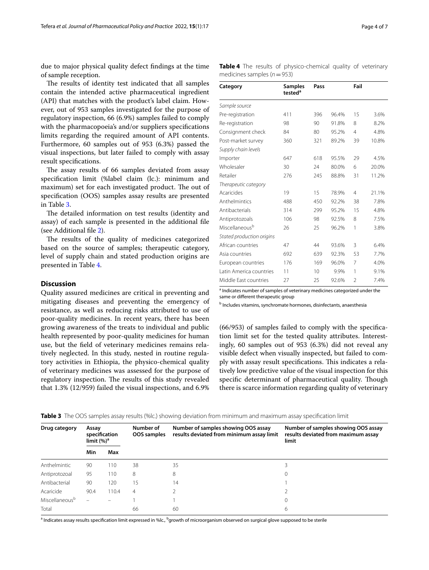due to major physical quality defect fndings at the time of sample reception.

The results of identity test indicated that all samples contain the intended active pharmaceutical ingredient (API) that matches with the product's label claim. However, out of 953 samples investigated for the purpose of regulatory inspection, 66 (6.9%) samples failed to comply with the pharmacopoeia's and/or suppliers specifications limits regarding the required amount of API contents. Furthermore, 60 samples out of 953 (6.3%) passed the visual inspections, but later failed to comply with assay result specifcations.

The assay results of 66 samples deviated from assay specifcation limit (%label claim (lc.): minimum and maximum) set for each investigated product. The out of specifcation (OOS) samples assay results are presented in Table [3](#page-3-0).

The detailed information on test results (identity and assay) of each sample is presented in the additional fle (see Additional fle [2\)](#page-4-1).

The results of the quality of medicines categorized based on the source of samples; therapeutic category, level of supply chain and stated production origins are presented in Table [4](#page-3-1).

## **Discussion**

Quality assured medicines are critical in preventing and mitigating diseases and preventing the emergency of resistance, as well as reducing risks attributed to use of poor-quality medicines. In recent years, there has been growing awareness of the treats to individual and public health represented by poor-quality medicines for human use, but the feld of veterinary medicines remains relatively neglected. In this study, nested in routine regulatory activities in Ethiopia, the physico-chemical quality of veterinary medicines was assessed for the purpose of regulatory inspection. The results of this study revealed that 1.3% (12/959) failed the visual inspections, and 6.9% <span id="page-3-1"></span>**Table 4** The results of physico-chemical quality of veterinary medicines samples (*n*=953)

| Category                   | <b>Samples</b><br>tested <sup>a</sup> | Pass |       | Fail           |       |
|----------------------------|---------------------------------------|------|-------|----------------|-------|
| Sample source              |                                       |      |       |                |       |
| Pre-registration           | 411                                   | 396  | 96.4% | 15             | 3.6%  |
| Re-registration            | 98                                    | 90   | 91.8% | 8              | 8.2%  |
| Consignment check          | 84                                    | 80   | 95.2% | 4              | 4.8%  |
| Post-market survey         | 360                                   | 321  | 89.2% | 39             | 10.8% |
| Supply chain levels        |                                       |      |       |                |       |
| Importer                   | 647                                   | 618  | 95.5% | 29             | 4.5%  |
| Wholesaler                 | 30                                    | 24   | 80.0% | 6              | 20.0% |
| Retailer                   | 276                                   | 245  | 88.8% | 31             | 11.2% |
| Therapeutic category       |                                       |      |       |                |       |
| Acaricides                 | 19                                    | 15   | 78.9% | $\overline{4}$ | 21.1% |
| Anthelmintics              | 488                                   | 450  | 92.2% | 38             | 7.8%  |
| Antibacterials             | 314                                   | 299  | 95.2% | 15             | 4.8%  |
| Antiprotozoals             | 106                                   | 98   | 92.5% | 8              | 7.5%  |
| Miscellaneous <sup>b</sup> | 26                                    | 25   | 96.2% | 1              | 3.8%  |
| Stated production origins  |                                       |      |       |                |       |
| African countries          | 47                                    | 44   | 93.6% | 3              | 6.4%  |
| Asia countries             | 692                                   | 639  | 92.3% | 53             | 7.7%  |
| European countries         | 176                                   | 169  | 96.0% | 7              | 4.0%  |
| Latin America countries    | 11                                    | 10   | 9.9%  | 1              | 9.1%  |
| Middle East countries      | 27                                    | 25   | 92.6% | $\mathcal{P}$  | 7.4%  |

<sup>a</sup> Indicates number of samples of veterinary medicines categorized under the same or diferent therapeutic group

b Includes vitamins, synchromate hormones, disinfectants, anaesthesia

(66/953) of samples failed to comply with the specifcation limit set for the tested quality attributes. Interestingly, 60 samples out of 953 (6.3%) did not reveal any visible defect when visually inspected, but failed to comply with assay result specifications. This indicates a relatively low predictive value of the visual inspection for this specific determinant of pharmaceutical quality. Though there is scarce information regarding quality of veterinary

**Drug category Assay specifcation limit (%)a Number of OOS samples Number of samples showing OOS assay results deviated from minimum assay limit Number of samples showing OOS assay results deviated from maximum assay limit Min Max** Anthelmintic 90 110 38 35 35 Antiprotozoal 95 110 8 8 0 Antibacterial 90 120 15 14 14 15 16 17 18 Acaricide 90.4 110.4 4 2 2  $Miscellaneous<sup>b</sup>$  – – 1 1 1 0  $\begin{array}{ccccccc}\n\text{Total} & \text{S} & \text{S} & \text{S} & \text{S} & \text{S} & \text{S} & \text{S} & \text{S} & \text{S} & \text{S} & \text{S} & \text{S} & \text{S} & \text{S} & \text{S} & \text{S} & \text{S} & \text{S} & \text{S} & \text{S} & \text{S} & \text{S} & \text{S} & \text{S} & \text{S} & \text{S} & \text{S} & \text{S} & \text{S} & \text{S} & \text{S} & \text{S} & \text{S} & \text{S} & \$ 

<span id="page-3-0"></span>**Table 3** The OOS samples assay results (%lc.) showing deviation from minimum and maximum assay specifcation limit

 $^{\rm a}$  Indicates assay results specification limit expressed in %lc.,  $^{\rm b}$ growth of microorganism observed on surgical glove supposed to be sterile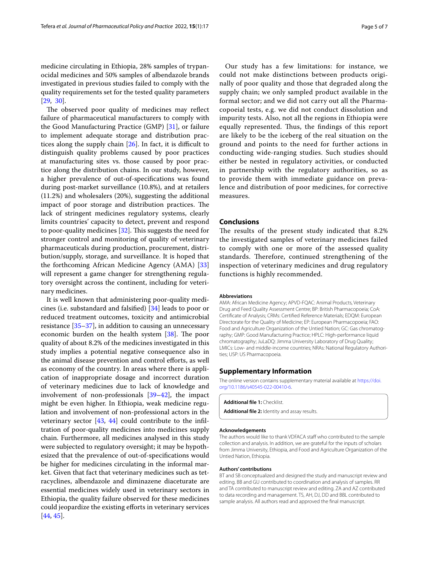medicine circulating in Ethiopia, 28% samples of trypanocidal medicines and 50% samples of albendazole brands investigated in previous studies failed to comply with the quality requirements set for the tested quality parameters  $[29, 30]$  $[29, 30]$  $[29, 30]$  $[29, 30]$  $[29, 30]$ .

The observed poor quality of medicines may reflect failure of pharmaceutical manufacturers to comply with the Good Manufacturing Practice (GMP) [\[31](#page-5-26)], or failure to implement adequate storage and distribution practices along the supply chain  $[26]$ . In fact, it is difficult to distinguish quality problems caused by poor practices at manufacturing sites vs. those caused by poor practice along the distribution chains. In our study, however, a higher prevalence of out-of-specifcations was found during post-market surveillance (10.8%), and at retailers (11.2%) and wholesalers (20%), suggesting the additional impact of poor storage and distribution practices. The lack of stringent medicines regulatory systems, clearly limits countries' capacity to detect, prevent and respond to poor-quality medicines  $[32]$  $[32]$  $[32]$ . This suggests the need for stronger control and monitoring of quality of veterinary pharmaceuticals during production, procurement, distribution/supply, storage, and surveillance. It is hoped that the forthcoming African Medicine Agency (AMA) [[33](#page-5-28)] will represent a game changer for strengthening regulatory oversight across the continent, including for veterinary medicines.

It is well known that administering poor-quality medicines (i.e. substandard and falsifed) [\[34](#page-6-0)] leads to poor or reduced treatment outcomes, toxicity and antimicrobial resistance  $[35-37]$  $[35-37]$ , in addition to causing an unnecessary economic burden on the health system  $[38]$  $[38]$ . The poor quality of about 8.2% of the medicines investigated in this study implies a potential negative consequence also in the animal disease prevention and control efforts, as well as economy of the country. In areas where there is application of inappropriate dosage and incorrect duration of veterinary medicines due to lack of knowledge and involvement of non-professionals [[39](#page-6-4)[–42](#page-6-5)], the impact might be even higher. In Ethiopia, weak medicine regulation and involvement of non-professional actors in the veterinary sector [[43,](#page-6-6) [44\]](#page-6-7) could contribute to the infltration of poor-quality medicines into medicines supply chain. Furthermore, all medicines analysed in this study were subjected to regulatory oversight; it may be hypothesized that the prevalence of out-of-specifcations would be higher for medicines circulating in the informal market. Given that fact that veterinary medicines such as tetracyclines, albendazole and diminazene diaceturate are essential medicines widely used in veterinary sectors in Ethiopia, the quality failure observed for these medicines could jeopardize the existing eforts in veterinary services [[44,](#page-6-7) [45](#page-6-8)].

Our study has a few limitations: for instance, we could not make distinctions between products originally of poor quality and those that degraded along the supply chain; we only sampled product available in the formal sector; and we did not carry out all the Pharmacopoeial tests, e.g. we did not conduct dissolution and impurity tests. Also, not all the regions in Ethiopia were equally represented. Thus, the findings of this report are likely to be the iceberg of the real situation on the ground and points to the need for further actions in conducting wide-ranging studies. Such studies should either be nested in regulatory activities, or conducted in partnership with the regulatory authorities, so as to provide them with immediate guidance on prevalence and distribution of poor medicines, for corrective measures.

## **Conclusions**

The results of the present study indicated that 8.2% the investigated samples of veterinary medicines failed to comply with one or more of the assessed quality standards. Therefore, continued strengthening of the inspection of veterinary medicines and drug regulatory functions is highly recommended.

#### **Abbreviations**

AMA: African Medicine Agency; APVD-FQAC: Animal Products, Veterinary Drug and Feed Quality Assessment Centre; BP: British Pharmacopoeia; CoA: Certifcate of Analysis; CRMs: Certifed Reference Materials; EDQM: European Directorate for the Quality of Medicine; EP: European Pharmacopoeia; FAO: Food and Agriculture Organization of the Untied Nation; GC: Gas chromatography; GMP: Good Manufacturing Practice; HPLC: High-performance liquid chromatography; JuLaDQ: Jimma University Laboratory of Drug Quality; LMICs: Low- and middle-income countries; NRAs: National Regulatory Authorities; USP: US Pharmacopoeia.

#### **Supplementary Information**

The online version contains supplementary material available at [https://doi.](https://doi.org/10.1186/s40545-022-00410-6) [org/10.1186/s40545-022-00410-6](https://doi.org/10.1186/s40545-022-00410-6).

<span id="page-4-1"></span><span id="page-4-0"></span>**Additional fle 1:** Checklist. **Additional fle 2:** Identity and assay results.

#### **Acknowledgements**

The authors would like to thank VDFACA staff who contributed to the sample collection and analysis. In addition, we are grateful for the inputs of scholars from Jimma University, Ethiopia, and Food and Agriculture Organization of the Untied Nation, Ethiopia.

#### **Authors' contributions**

BT and SB conceptualized and designed the study and manuscript review and editing. BB and GU contributed to coordination and analysis of samples. RR and TA contributed to manuscript review and editing. ZA and AZ contributed to data recording and management. TS, AH, DJ, DD and BBL contributed to sample analysis. All authors read and approved the fnal manuscript.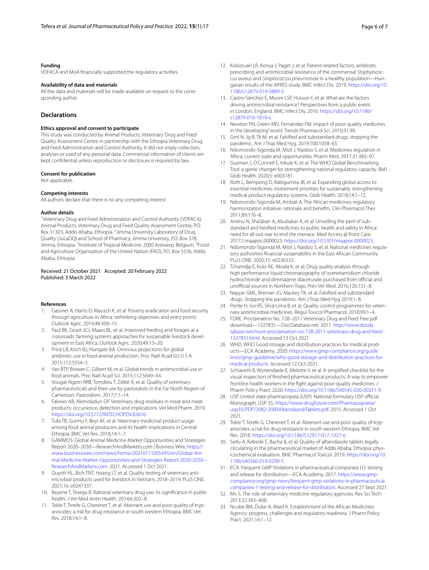#### **Funding**

VDFACA and MoA fnancially supported the regulatory activities.

#### **Availability of data and materials**

All the data and materials will be made available on request to the corresponding author.

#### **Declarations**

#### **Ethics approval and consent to participate**

This study was conducted by Animal Products, Veterinary Drug and Feed Quality Assessment Centre in partnership with the Ethiopia Veterinary Drug and Feed Administration and Control Authority. It did not imply collection, analyses or used of any personal data. Commercial information of clients are kept confdential unless reproduction or disclosure is required by law.

#### **Consent for publication**

Not applicable.

#### **Competing interests**

All authors declare that there is no any competing interest.

#### **Author details**

<sup>1</sup>Veterinary Drug and Feed Administration and Control Authority (VDFACA), Animal Products, Veterinary Drug and Feed Quality Assessment Centre, P.O. Box 31303, Addis Ababa, Ethiopia. <sup>2</sup> Jimma University Laboratory of Drug Quality (JuLaDQ) and School of Pharmacy, Jimma University, P.O. Box 378, Jimma, Ethiopia. <sup>3</sup>Institute of Tropical Medicine, 2000 Antwerp, Belgium. <sup>4</sup>Food and Agriculture Organization of the Untied Nation (FAO), P.O. Box 5536, Addis Ababa, Ethiopia.

#### Received: 21 October 2021 Accepted: 20 February 2022 Published: 3 March 2022

#### **References**

- <span id="page-5-0"></span>1. Gassner A, Harris D, Mausch K, et al. Poverty eradication and food security through agriculture in Africa: rethinking objectives and entry points. Outlook Agric. 2019;48:309–15.
- <span id="page-5-1"></span>2. Paul BK, Groot JCJ, Maass BL, et al. Improved feeding and forages at a crossroads: farming systems approaches for sustainable livestock development in East Africa. Outlook Agric. 2020;49:13–20.
- <span id="page-5-2"></span>3. Price LB, Koch BJ, Hungate BA. Ominous projections for global antibiotic use in food-animal production. Proc Natl Acad Sci U S A. 2015;112:5554–5.
- <span id="page-5-3"></span>4. Van BTP, Brower C, Gilbert M, et al. Global trends in antimicrobial use in food animals. Proc Natl Acad Sci. 2015;112:5649–54.
- <span id="page-5-4"></span>5. Vougat Ngom RRB, Tomdieu T, Ziébé R, et al. Quality of veterinary pharmaceuticals and their use by pastoralists in the Far North Region of Cameroon. Pastoralism. 2017;7:1–14.
- 6. Falowo AB, Akimoladun OF. Veterinary drug residues in meat and meat products: occurrence, detection and implications. Vet Med Pharm. 2019. [https://doi.org/10.5772/INTECHOPEN.83616.](https://doi.org/10.5772/INTECHOPEN.83616)
- <span id="page-5-5"></span>7. Tufa TB, Gurmu F, Beyi AF, et al. Veterinary medicinal product usage among food animal producers and its health implications in Central Ethiopia. BMC Vet Res. 2018;14:1–7.
- <span id="page-5-6"></span>GAMMOS. Global Animal Medicine Market Opportunities and Strategies Report 2020–2030—ResearchAndMarkets.com | Business Wire, [https://](https://www.businesswire.com/news/home/20210111005495/en/Global-Animal-Medicine-Market-Opportunities-and-Strategies-Report-2020-2030---ResearchAndMarkets.com) [www.businesswire.com/news/home/20210111005495/en/Global-Ani](https://www.businesswire.com/news/home/20210111005495/en/Global-Animal-Medicine-Market-Opportunities-and-Strategies-Report-2020-2030---ResearchAndMarkets.com)[mal-Medicine-Market-Opportunities-and-Strategies-Report-2020-2030---](https://www.businesswire.com/news/home/20210111005495/en/Global-Animal-Medicine-Market-Opportunities-and-Strategies-Report-2020-2030---ResearchAndMarkets.com) [ResearchAndMarkets.com](https://www.businesswire.com/news/home/20210111005495/en/Global-Animal-Medicine-Market-Opportunities-and-Strategies-Report-2020-2030---ResearchAndMarkets.com). 2021. Accessed 1 Oct 2021.
- <span id="page-5-7"></span>9. Quynh HL, Bich TNT, Hoang LT, et al. Quality testing of veterinary antimicrobial products used for livestock in Vietnam, 2018–2019. PLoS ONE. 2021;16: e0247337.
- 10. Beyene T, Tesega B. Rational veterinary drug use: its signifcance in public health. J Vet Med Anim Health. 2014;6:302–8.
- <span id="page-5-8"></span>11. Tekle T, Terefe G, Cherenet T, et al. Aberrant use and poor quality of trypanocides: a risk for drug resistance in south western Ethiopia. BMC Vet Res. 2018;14:1–8.
- <span id="page-5-9"></span>12. Kolozsvári LR, Kónya J, Paget J, et al. Patient-related factors, antibiotic prescribing and antimicrobial resistance of the commensal *Staphylococcus aureus* and *Streptococcus pneumoniae* in a healthy population—Hungarian results of the APRES study. BMC Infect Dis. 2019. [https://doi.org/10.](https://doi.org/10.1186/s12879-019-3889-3) [1186/s12879-019-3889-3](https://doi.org/10.1186/s12879-019-3889-3).
- 13. Castro-Sánchez E, Moore LSP, Husson F, et al. What are the factors driving antimicrobial resistance? Perspectives from a public event in London, England. BMC Infect Dis. 2016. [https://doi.org/10.1186/](https://doi.org/10.1186/s12879-016-1810-x) [s12879-016-1810-x](https://doi.org/10.1186/s12879-016-1810-x).
- 14. Newton PN, Green MD, Fernández FM. Impact of poor-quality medicines in the 'developing' world. Trends Pharmacol Sci. 2010;31:99.
- <span id="page-5-10"></span>15. Gml N, Jg B, Tk M, et al. Falsifed and substandard drugs: stopping the pandemic. Am J Trop Med Hyg. 2019;100:1058–65.
- <span id="page-5-11"></span>16. Ndomondo-Sigonda M, Miot J, Naidoo S, et al. Medicines regulation in Africa: current state and opportunities. Pharm Med. 2017;31:383–97.
- <span id="page-5-12"></span>17. Guzman J, O'Connell E, Kikule K, et al. The WHO Global Benchmarking Tool: a game changer for strengthening national regulatory capacity. BMJ Glob Health. 2020;5: e003181.
- <span id="page-5-13"></span>18. Roth L, Bempong D, Babigumira JB, et al. Expanding global access to essential medicines: investment priorities for sustainably strengthening medical product regulatory systems. Glob Health. 2018;14:1–12.
- <span id="page-5-14"></span>19. Ndomondo-Sigonda M, Ambali A. The African medicines regulatory harmonization initiative: rationale and benefts. Clin Pharmacol Ther. 2011;89:176–8.
- <span id="page-5-16"></span>20. Aminu N, Sha'aban A, Abubakar A, et al. Unveiling the peril of substandard and falsifed medicines to public health and safety in Africa: need for all-out war to end the menace. Med Access @ Point Care. 2017;1:maapoc.0000023. [https://doi.org/10.5301/maapoc.0000023.](https://doi.org/10.5301/maapoc.0000023)
- <span id="page-5-15"></span>21. Ndomondo-Sigonda M, Miot J, Naidoo S, et al. National medicines regulatory authorities fnancial sustainability in the East African Community. PLoS ONE. 2020;15: e0236332.
- <span id="page-5-17"></span>22. Tchamdja E, Kulo AE, Akoda K, et al. Drug quality analysis through high performance liquid chromatography of isometamidium chloride hydrochloride and diminazene diaceturate purchased from official and unofficial sources in Northern Togo. Prev Vet Med. 2016;126:151-8.
- <span id="page-5-18"></span>23. Nayyar GML, Breman JG, Mackey TK, et al. Falsifed and substandard drugs. Stopping the pandemic. Am J Trop Med Hyg 2019;1–8.
- <span id="page-5-19"></span>24. Ponte H, Ivo RS, Silva-Lima B, et al. Quality control programmes for veterinary antimicrobial medicines. Regul Toxicol Pharmacol. 2018;99:1–4.
- <span id="page-5-20"></span>25. FDRE. Proclamation No. 728–2011 Veterinary Drug and Feed Free pdf download—1327831—DocDatabase.net. 2011. [http://www.docda](http://www.docdatabase.net/more-proclamation-no-728-2011-veterinary-drug-and-feed--1327831.html) [tabase.net/more-proclamation-no-728-2011-veterinary-drug-and-feed--](http://www.docdatabase.net/more-proclamation-no-728-2011-veterinary-drug-and-feed--1327831.html) [1327831.html.](http://www.docdatabase.net/more-proclamation-no-728-2011-veterinary-drug-and-feed--1327831.html) Accessed 13 Oct 2021.
- <span id="page-5-21"></span>26. WHO. WHO Good storage and distribution practices for medical products—ECA Academy. 2020. [https://www.gmp-compliance.org/guide](https://www.gmp-compliance.org/guidelines/gmp-guideline/who-good-storage-and-distribution-practices-for-medical-products) [lines/gmp-guideline/who-good-storage-and-distribution-practices-for](https://www.gmp-compliance.org/guidelines/gmp-guideline/who-good-storage-and-distribution-practices-for-medical-products)[medical-products.](https://www.gmp-compliance.org/guidelines/gmp-guideline/who-good-storage-and-distribution-practices-for-medical-products) Accessed 12 Oct 2021.
- <span id="page-5-22"></span>27. Schiavetti B, Wynendaele E, Melotte V, et al. A simplifed checklist for the visual inspection of fnished pharmaceutical products: A way to empower frontline health workers in the fght against poor-quality medicines. J Pharm Policy Pract. 2020. [https://doi.org/10.1186/S40545-020-00211-9.](https://doi.org/10.1186/S40545-020-00211-9)
- <span id="page-5-23"></span>28. USP. United state pharmacopeia (USP): National formulary USP official Monograph, USP 35, [https://www.drugfuture.com/Pharmacopoeia/](https://www.drugfuture.com/Pharmacopoeia/usp35/PDF/2082-2083AlbendazoleTablets.pdf) [usp35/PDF/2082-2083AlbendazoleTablets.pdf](https://www.drugfuture.com/Pharmacopoeia/usp35/PDF/2082-2083AlbendazoleTablets.pdf). 2015. Accessed 1 Oct 2021.
- <span id="page-5-24"></span>29. Tekle T, Terefe G, Cherenet T, et al. Aberrant use and poor quality of trypanocides: a risk for drug resistance in south western Ethiopia. BMC Vet Res. 2018.<https://doi.org/10.1186/S12917-017-1327-6>.
- <span id="page-5-25"></span>30. Seifu A, Kebede E, Bacha B, et al. Quality of albendazole tablets legally circulating in the pharmaceutical market of Addis Ababa, Ethiopia: physicochemical evaluation. BMC Pharmacol Toxicol. 2019. [https://doi.org/10.](https://doi.org/10.1186/s40360-019-0299-5) [1186/s40360-019-0299-5](https://doi.org/10.1186/s40360-019-0299-5).
- <span id="page-5-26"></span>31. ECA. Frequent GMP Violations in pharmaceutical companies (1): testing and release for distribution—ECA Academy. 2017. [https://www.gmp](https://www.gmp-compliance.org/gmp-news/frequent-gmp-violations-in-pharmaceutical-companies-1-testing-and-release-for-distribution)[compliance.org/gmp-news/frequent-gmp-violations-in-pharmaceutical](https://www.gmp-compliance.org/gmp-news/frequent-gmp-violations-in-pharmaceutical-companies-1-testing-and-release-for-distribution)[companies-1-testing-and-release-for-distribution.](https://www.gmp-compliance.org/gmp-news/frequent-gmp-violations-in-pharmaceutical-companies-1-testing-and-release-for-distribution) Accessed 27 Sept 2021.
- <span id="page-5-27"></span>32. Mv S. The role of veterinary medicine regulatory agencies. Rev Sci Tech. 2013;32:393–408.
- <span id="page-5-28"></span>33. Ncube BM, Dube A, Ward K. Establishment of the African Medicines Agency: progress, challenges and regulatory readiness. J Pharm Policy Pract. 2021;14:1–12.